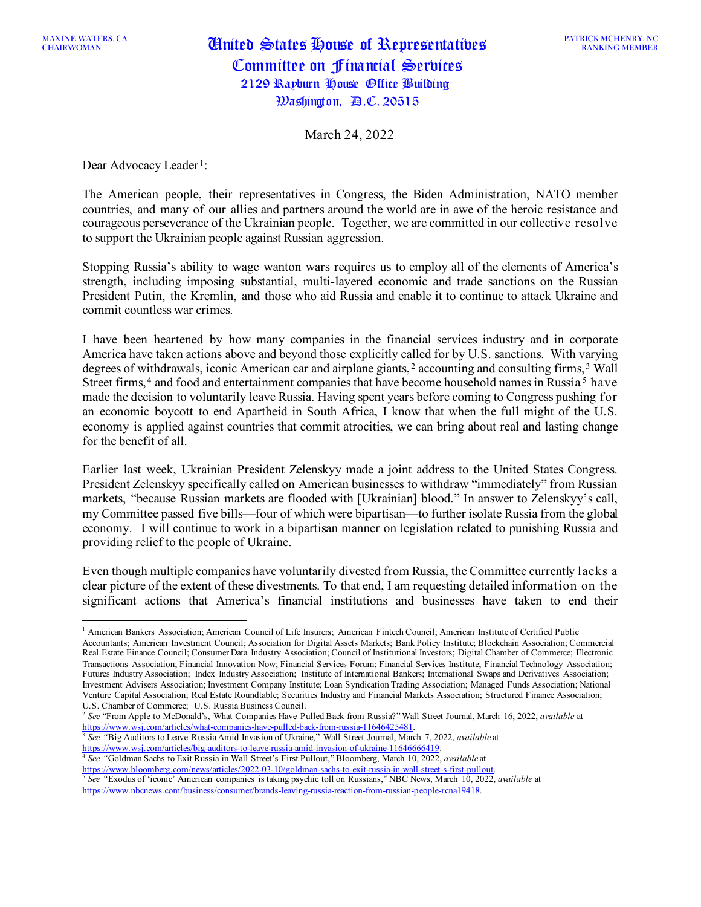March 24, 2022

Dear Advocacy Leader<sup>[1](#page-0-0)</sup>:

The American people, their representatives in Congress, the Biden Administration, NATO member countries, and many of our allies and partners around the world are in awe of the heroic resistance and courageous perseverance of the Ukrainian people. Together, we are committed in our collective resolve to support the Ukrainian people against Russian aggression.

Stopping Russia's ability to wage wanton wars requires us to employ all of the elements of America's strength, including imposing substantial, multi-layered economic and trade sanctions on the Russian President Putin, the Kremlin, and those who aid Russia and enable it to continue to attack Ukraine and commit countless war crimes.

I have been heartened by how many companies in the financial services industry and in corporate America have taken actions above and beyond those explicitly called for by U.S. sanctions. With varying degrees of withdrawals, iconic American car and airplane giants,<sup>[2](#page-0-1)</sup> accounting and consulting firms,<sup>[3](#page-0-2)</sup> Wall Street firms,  $4$  and food and entertainment companies that have become household names in Russia<sup>[5](#page-0-4)</sup> have made the decision to voluntarily leave Russia. Having spent years before coming to Congress pushing for an economic boycott to end Apartheid in South Africa, I know that when the full might of the U.S. economy is applied against countries that commit atrocities, we can bring about real and lasting change for the benefit of all.

Earlier last week, Ukrainian President Zelenskyy made a joint address to the United States Congress. President Zelenskyy specifically called on American businesses to withdraw "immediately" from Russian markets, "because Russian markets are flooded with [Ukrainian] blood." In answer to Zelenskyy's call, my Committee passed five bills—four of which were bipartisan—to further isolate Russia from the global economy. I will continue to work in a bipartisan manner on legislation related to punishing Russia and providing relief to the people of Ukraine.

Even though multiple companies have voluntarily divested from Russia, the Committee currently lacks a clear picture of the extent of these divestments. To that end, I am requesting detailed information on the significant actions that America's financial institutions and businesses have taken to end their

<span id="page-0-2"></span><sup>3</sup> *See "*Big Auditors to Leave Russia Amid Invasion of Ukraine," Wall Street Journal, March 7, 2022, *available* at [https://www.wsj.com/articles/big-auditors-to-leave-russia-amid-invasion-of-ukraine-11646666419. 4](https://www.wsj.com/articles/big-auditors-to-leave-russia-amid-invasion-of-ukraine-11646666419) *See "*Goldman Sachs to Exit Russia in Wall Street's First Pullout," Bloomberg, March 10, 2022, *available* at

<span id="page-0-3"></span>[https://www.bloomberg.com/news/articles/2022-03-10/goldman-sachs-to-exit-russia-in-wall-street-s-first-pullout.](https://www.bloomberg.com/news/articles/2022-03-10/goldman-sachs-to-exit-russia-in-wall-street-s-first-pullout)

<span id="page-0-0"></span><sup>&</sup>lt;sup>1</sup> American Bankers Association; American Council of Life Insurers; American Fintech Council; American Institute of Certified Public Accountants; American Investment Council; Association for Digital Assets Markets; Bank Policy Institute; Blockchain Association; Commercial Real Estate Finance Council; Consumer Data Industry Association; Council of Institutional Investors; Digital Chamber of Commerce; Electronic Transactions Association; Financial Innovation Now; Financial Services Forum; Financial Services Institute; Financial Technology Association; Futures Industry Association; Index Industry Association; Institute of International Bankers; International Swaps and Derivatives Association; Investment Advisers Association; Investment Company Institute; Loan Syndication Trading Association; Managed Funds Association; National Venture Capital Association; Real Estate Roundtable; Securities Industry and Financial Markets Association; Structured Finance Association; U.S. Chamber of Commerce; U.S. Russia Business Council.

<span id="page-0-1"></span><sup>2</sup> *See* "From Apple to McDonald's, What Companies Have Pulled Back from Russia?" Wall Street Journal, March 16, 2022, *available* at [https://www.wsj.com/articles/what-companies-have-pulled-back-from-russia-11646425481.](https://www.wsj.com/articles/what-companies-have-pulled-back-from-russia-11646425481)

<span id="page-0-4"></span><sup>5</sup> *See "*Exodus of 'iconic' American companies is taking psychic toll on Russians," NBC News, March 10, 2022, *available* at [https://www.nbcnews.com/business/consumer/brands-leaving-russia-reaction-from-russian-people-rcna19418.](https://www.nbcnews.com/business/consumer/brands-leaving-russia-reaction-from-russian-people-rcna19418)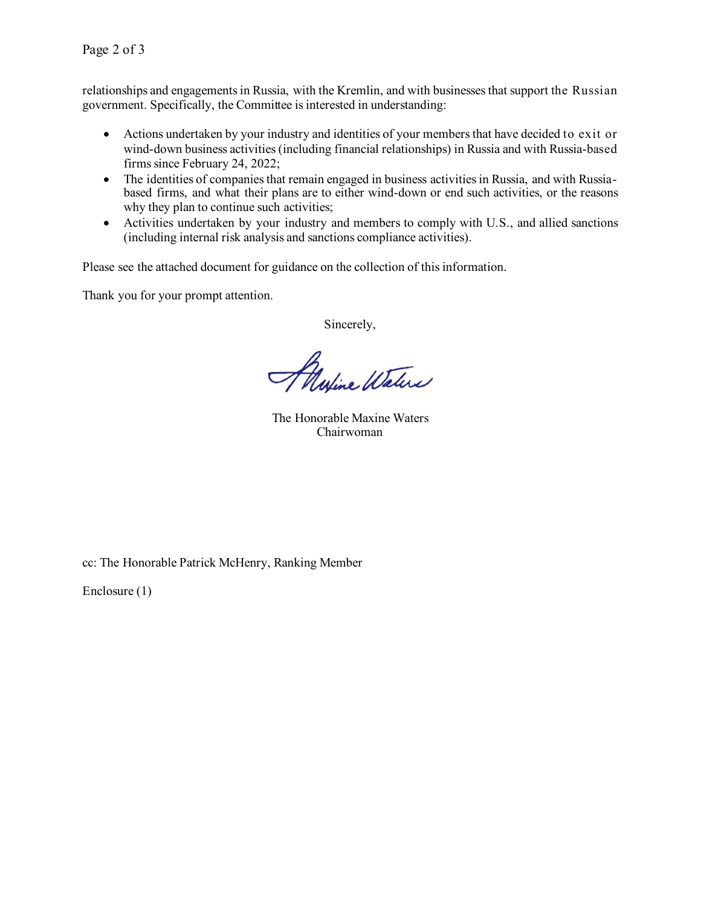relationships and engagements in Russia, with the Kremlin, and with businesses that support the Russian government. Specifically, the Committee is interested in understanding:

- Actions undertaken by your industry and identities of your members that have decided to exit or wind-down business activities (including financial relationships) in Russia and with Russia-based firms since February 24, 2022;
- The identities of companies that remain engaged in business activities in Russia, and with Russiabased firms, and what their plans are to either wind-down or end such activities, or the reasons why they plan to continue such activities;
- Activities undertaken by your industry and members to comply with U.S., and allied sanctions (including internal risk analysis and sanctions compliance activities).

Please see the attached document for guidance on the collection of this information.

Thank you for your prompt attention.

Sincerely,

Alexine Waters

The Honorable Maxine Waters Chairwoman

cc: The Honorable Patrick McHenry, Ranking Member

Enclosure (1)